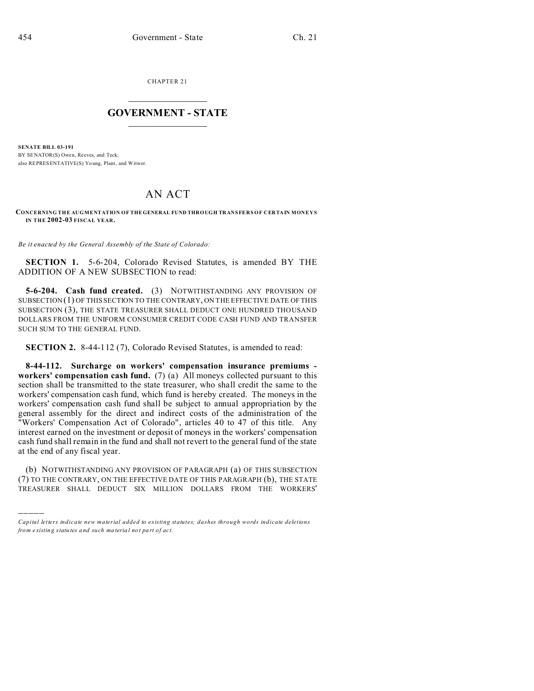)))))

CHAPTER 21  $\overline{\phantom{a}}$  , where  $\overline{\phantom{a}}$ 

## **GOVERNMENT - STATE**  $\_$   $\_$   $\_$   $\_$   $\_$   $\_$   $\_$   $\_$   $\_$

**SENATE BILL 03-191** BY SENATOR(S) Owen, Reeves, and Teck: also REPRESENTATIVE(S) Yo ung, Plant, and Witwer.

## AN ACT

**CONCERNING THE AUGMENTATION OF THEGENERAL FUND THROUGH TRANSFERS OF CERTAIN MONEYS IN THE 2002-03 FISCAL YEAR.**

*Be it enacted by the General Assembly of the State of Colorado:*

**SECTION 1.** 5-6-204, Colorado Revised Statutes, is amended BY THE ADDITION OF A NEW SUBSECTION to read:

**5-6-204. Cash fund created.** (3) NOTWITHSTANDING ANY PROVISION OF SUBSECTION (1) OF THIS SECTION TO THE CONTRARY, ON THE EFFECTIVE DATE OF THIS SUBSECTION (3), THE STATE TREASURER SHALL DEDUCT ONE HUNDRED THOUSAND DOLLARS FROM THE UNIFORM CONSUMER CREDIT CODE CASH FUND AND TRANSFER SUCH SUM TO THE GENERAL FUND.

**SECTION 2.** 8-44-112 (7), Colorado Revised Statutes, is amended to read:

**8-44-112. Surcharge on workers' compensation insurance premiums workers' compensation cash fund.** (7) (a) All moneys collected pursuant to this section shall be transmitted to the state treasurer, who shall credit the same to the workers' compensation cash fund, which fund is hereby created. The moneys in the workers' compensation cash fund shall be subject to annual appropriation by the general assembly for the direct and indirect costs of the administration of the "Workers' Compensation Act of Colorado", articles 40 to 47 of this title. Any interest earned on the investment or deposit of moneys in the workers' compensation cash fund shall remain in the fund and shall not revert to the general fund of the state at the end of any fiscal year.

(b) NOTWITHSTANDING ANY PROVISION OF PARAGRAPH (a) OF THIS SUBSECTION (7) TO THE CONTRARY, ON THE EFFECTIVE DATE OF THIS PARAGRAPH (b), THE STATE TREASURER SHALL DEDUCT SIX MILLION DOLLARS FROM THE WORKERS'

*Capital letters indicate new material added to existing statutes; dashes through words indicate deletions from e xistin g statu tes a nd such ma teria l no t pa rt of ac t.*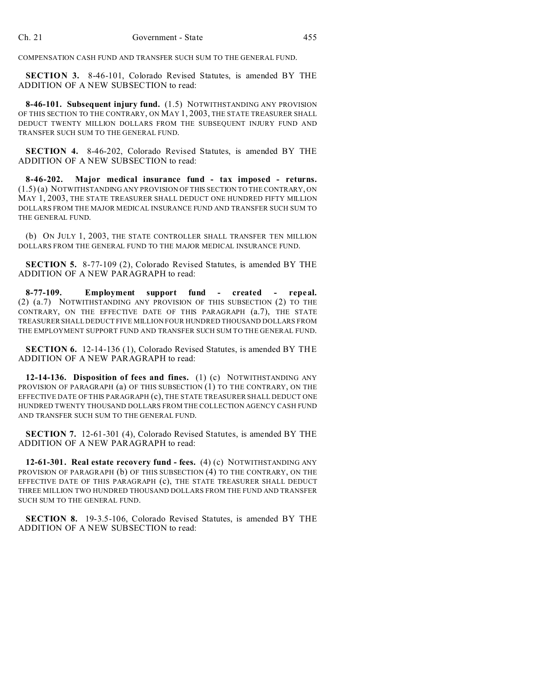COMPENSATION CASH FUND AND TRANSFER SUCH SUM TO THE GENERAL FUND.

**SECTION 3.** 8-46-101, Colorado Revised Statutes, is amended BY THE ADDITION OF A NEW SUBSECTION to read:

**8-46-101. Subsequent injury fund.** (1.5) NOTWITHSTANDING ANY PROVISION OF THIS SECTION TO THE CONTRARY, ON MAY 1, 2003, THE STATE TREASURER SHALL DEDUCT TWENTY MILLION DOLLARS FROM THE SUBSEQUENT INJURY FUND AND TRANSFER SUCH SUM TO THE GENERAL FUND.

**SECTION 4.** 8-46-202, Colorado Revised Statutes, is amended BY THE ADDITION OF A NEW SUBSECTION to read:

**8-46-202. Major medical insurance fund - tax imposed - returns.** (1.5) (a) NOTWITHSTANDING ANY PROVISION OF THIS SECTION TO THE CONTRARY, ON MAY 1, 2003, THE STATE TREASURER SHALL DEDUCT ONE HUNDRED FIFTY MILLION DOLLARS FROM THE MAJOR MEDICAL INSURANCE FUND AND TRANSFER SUCH SUM TO THE GENERAL FUND.

(b) ON JULY 1, 2003, THE STATE CONTROLLER SHALL TRANSFER TEN MILLION DOLLARS FROM THE GENERAL FUND TO THE MAJOR MEDICAL INSURANCE FUND.

**SECTION 5.** 8-77-109 (2), Colorado Revised Statutes, is amended BY THE ADDITION OF A NEW PARAGRAPH to read:

**8-77-109. Employment support fund - created - repeal.** (2) (a.7) NOTWITHSTANDING ANY PROVISION OF THIS SUBSECTION (2) TO THE CONTRARY, ON THE EFFECTIVE DATE OF THIS PARAGRAPH (a.7), THE STATE TREASURER SHALL DEDUCT FIVE MILLION FOUR HUNDRED THOUSAND DOLLARS FROM THE EMPLOYMENT SUPPORT FUND AND TRANSFER SUCH SUM TO THE GENERAL FUND.

**SECTION 6.** 12-14-136 (1), Colorado Revised Statutes, is amended BY THE ADDITION OF A NEW PARAGRAPH to read:

**12-14-136. Disposition of fees and fines.** (1) (c) NOTWITHSTANDING ANY PROVISION OF PARAGRAPH (a) OF THIS SUBSECTION (1) TO THE CONTRARY, ON THE EFFECTIVE DATE OF THIS PARAGRAPH (c), THE STATE TREASURER SHALL DEDUCT ONE HUNDRED TWENTY THOUSAND DOLLARS FROM THE COLLECTION AGENCY CASH FUND AND TRANSFER SUCH SUM TO THE GENERAL FUND.

**SECTION 7.** 12-61-301 (4), Colorado Revised Statutes, is amended BY THE ADDITION OF A NEW PARAGRAPH to read:

**12-61-301. Real estate recovery fund - fees.** (4) (c) NOTWITHSTANDING ANY PROVISION OF PARAGRAPH (b) OF THIS SUBSECTION (4) TO THE CONTRARY, ON THE EFFECTIVE DATE OF THIS PARAGRAPH (c), THE STATE TREASURER SHALL DEDUCT THREE MILLION TWO HUNDRED THOUSAND DOLLARS FROM THE FUND AND TRANSFER SUCH SUM TO THE GENERAL FUND.

**SECTION 8.** 19-3.5-106, Colorado Revised Statutes, is amended BY THE ADDITION OF A NEW SUBSECTION to read: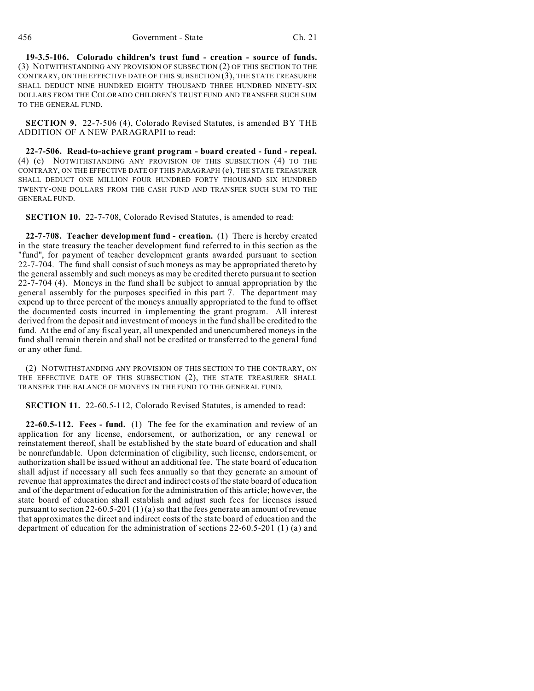**19-3.5-106. Colorado children's trust fund - creation - source of funds.** (3) NOTWITHSTANDING ANY PROVISION OF SUBSECTION (2) OF THIS SECTION TO THE CONTRARY, ON THE EFFECTIVE DATE OF THIS SUBSECTION (3), THE STATE TREASURER SHALL DEDUCT NINE HUNDRED EIGHTY THOUSAND THREE HUNDRED NINETY-SIX DOLLARS FROM THE COLORADO CHILDREN'S TRUST FUND AND TRANSFER SUCH SUM TO THE GENERAL FUND.

**SECTION 9.** 22-7-506 (4), Colorado Revised Statutes, is amended BY THE ADDITION OF A NEW PARAGRAPH to read:

**22-7-506. Read-to-achieve grant program - board created - fund - repeal.** (4) (e) NOTWITHSTANDING ANY PROVISION OF THIS SUBSECTION (4) TO THE CONTRARY, ON THE EFFECTIVE DATE OF THIS PARAGRAPH (e), THE STATE TREASURER SHALL DEDUCT ONE MILLION FOUR HUNDRED FORTY THOUSAND SIX HUNDRED TWENTY-ONE DOLLARS FROM THE CASH FUND AND TRANSFER SUCH SUM TO THE GENERAL FUND.

**SECTION 10.** 22-7-708, Colorado Revised Statutes, is amended to read:

**22-7-708. Teacher development fund - creation.** (1) There is hereby created in the state treasury the teacher development fund referred to in this section as the "fund", for payment of teacher development grants awarded pursuant to section 22-7-704. The fund shall consist of such moneys as may be appropriated thereto by the general assembly and such moneys as may be credited thereto pursuant to section 22-7-704 (4). Moneys in the fund shall be subject to annual appropriation by the general assembly for the purposes specified in this part 7. The department may expend up to three percent of the moneys annually appropriated to the fund to offset the documented costs incurred in implementing the grant program. All interest derived from the deposit and investment of moneys in the fund shall be credited to the fund. At the end of any fiscal year, all unexpended and unencumbered moneys in the fund shall remain therein and shall not be credited or transferred to the general fund or any other fund.

(2) NOTWITHSTANDING ANY PROVISION OF THIS SECTION TO THE CONTRARY, ON THE EFFECTIVE DATE OF THIS SUBSECTION (2), THE STATE TREASURER SHALL TRANSFER THE BALANCE OF MONEYS IN THE FUND TO THE GENERAL FUND.

**SECTION 11.** 22-60.5-112, Colorado Revised Statutes, is amended to read:

**22-60.5-112. Fees - fund.** (1) The fee for the examination and review of an application for any license, endorsement, or authorization, or any renewal or reinstatement thereof, shall be established by the state board of education and shall be nonrefundable. Upon determination of eligibility, such license, endorsement, or authorization shall be issued without an additional fee. The state board of education shall adjust if necessary all such fees annually so that they generate an amount of revenue that approximates the direct and indirect costs of the state board of education and of the department of education for the administration of this article; however, the state board of education shall establish and adjust such fees for licenses issued pursuant to section 22-60.5-201 (1) (a) so that the fees generate an amount of revenue that approximates the direct and indirect costs of the state board of education and the department of education for the administration of sections 22-60.5-201 (1) (a) and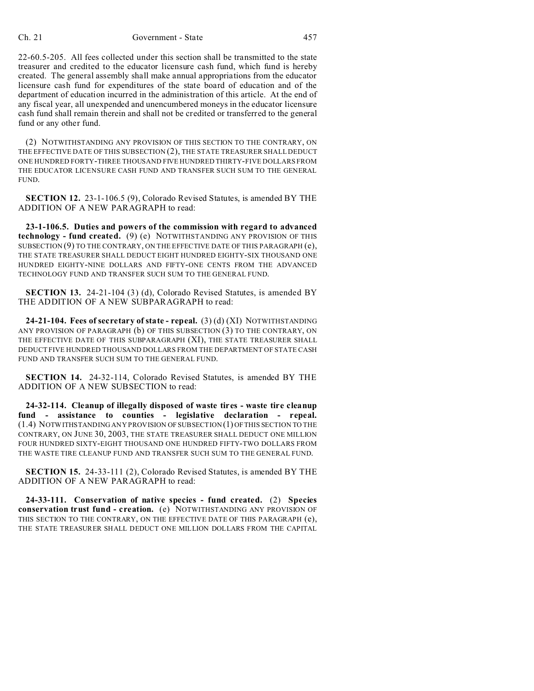22-60.5-205. All fees collected under this section shall be transmitted to the state treasurer and credited to the educator licensure cash fund, which fund is hereby created. The general assembly shall make annual appropriations from the educator licensure cash fund for expenditures of the state board of education and of the department of education incurred in the administration of this article. At the end of any fiscal year, all unexpended and unencumbered moneys in the educator licensure cash fund shall remain therein and shall not be credited or transferred to the general fund or any other fund.

(2) NOTWITHSTANDING ANY PROVISION OF THIS SECTION TO THE CONTRARY, ON THE EFFECTIVE DATE OF THIS SUBSECTION (2), THE STATE TREASURER SHALL DEDUCT ONE HUNDRED FORTY-THREE THOUSAND FIVE HUNDRED THIRTY-FIVE DOLLARS FROM THE EDUCATOR LICENSURE CASH FUND AND TRANSFER SUCH SUM TO THE GENERAL FUND.

**SECTION 12.** 23-1-106.5 (9), Colorado Revised Statutes, is amended BY THE ADDITION OF A NEW PARAGRAPH to read:

**23-1-106.5. Duties and powers of the commission with regard to advanced technology - fund created.** (9) (e) NOTWITHSTANDING ANY PROVISION OF THIS SUBSECTION (9) TO THE CONTRARY, ON THE EFFECTIVE DATE OF THIS PARAGRAPH (e), THE STATE TREASURER SHALL DEDUCT EIGHT HUNDRED EIGHTY-SIX THOUSAND ONE HUNDRED EIGHTY-NINE DOLLARS AND FIFTY-ONE CENTS FROM THE ADVANCED TECHNOLOGY FUND AND TRANSFER SUCH SUM TO THE GENERAL FUND.

**SECTION 13.** 24-21-104 (3) (d), Colorado Revised Statutes, is amended BY THE ADDITION OF A NEW SUBPARAGRAPH to read:

**24-21-104. Fees of secretary of state - repeal.** (3) (d) (XI) NOTWITHSTANDING ANY PROVISION OF PARAGRAPH (b) OF THIS SUBSECTION (3) TO THE CONTRARY, ON THE EFFECTIVE DATE OF THIS SUBPARAGRAPH (XI), THE STATE TREASURER SHALL DEDUCT FIVE HUNDRED THOUSAND DOLLARS FROM THE DEPARTMENT OF STATE CASH FUND AND TRANSFER SUCH SUM TO THE GENERAL FUND.

**SECTION 14.** 24-32-114, Colorado Revised Statutes, is amended BY THE ADDITION OF A NEW SUBSECTION to read:

**24-32-114. Cleanup of illegally disposed of waste tires - waste tire cleanup fund - assistance to counties - legislative declaration - repeal.** (1.4) NOTWITHSTANDING ANY PROVISION OF SUBSECTION (1) OFTHIS SECTION TO THE CONTRARY, ON JUNE 30, 2003, THE STATE TREASURER SHALL DEDUCT ONE MILLION FOUR HUNDRED SIXTY-EIGHT THOUSAND ONE HUNDRED FIFTY-TWO DOLLARS FROM THE WASTE TIRE CLEANUP FUND AND TRANSFER SUCH SUM TO THE GENERAL FUND.

**SECTION 15.** 24-33-111 (2), Colorado Revised Statutes, is amended BY THE ADDITION OF A NEW PARAGRAPH to read:

**24-33-111. Conservation of native species - fund created.** (2) **Species conservation trust fund - creation.** (e) NOTWITHSTANDING ANY PROVISION OF THIS SECTION TO THE CONTRARY, ON THE EFFECTIVE DATE OF THIS PARAGRAPH (e), THE STATE TREASURER SHALL DEDUCT ONE MILLION DOLLARS FROM THE CAPITAL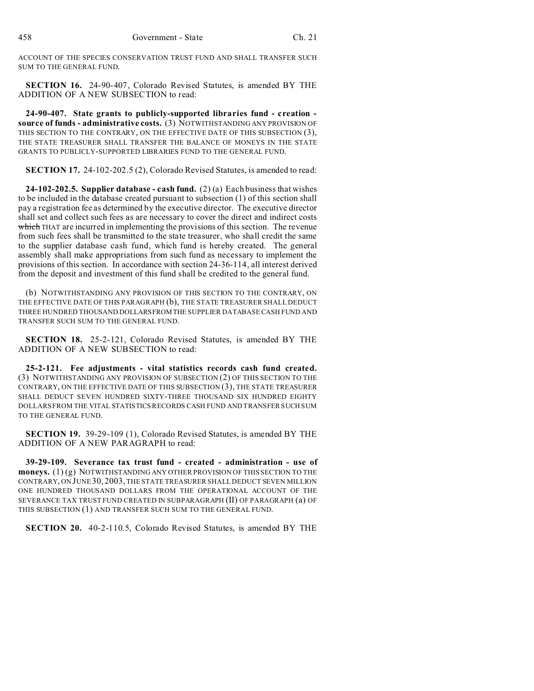ACCOUNT OF THE SPECIES CONSERVATION TRUST FUND AND SHALL TRANSFER SUCH SUM TO THE GENERAL FUND.

**SECTION 16.** 24-90-407, Colorado Revised Statutes, is amended BY THE ADDITION OF A NEW SUBSECTION to read:

**24-90-407. State grants to publicly-supported libraries fund - creation source of funds - administrative costs.** (3) NOTWITHSTANDING ANY PROVISION OF THIS SECTION TO THE CONTRARY, ON THE EFFECTIVE DATE OF THIS SUBSECTION (3), THE STATE TREASURER SHALL TRANSFER THE BALANCE OF MONEYS IN THE STATE GRANTS TO PUBLICLY-SUPPORTED LIBRARIES FUND TO THE GENERAL FUND.

**SECTION 17.** 24-102-202.5 (2), Colorado Revised Statutes, is amended to read:

**24-102-202.5. Supplier database - cash fund.** (2) (a) Each business that wishes to be included in the database created pursuant to subsection (1) of this section shall pay a registration fee as determined by the executive director. The executive director shall set and collect such fees as are necessary to cover the direct and indirect costs which THAT are incurred in implementing the provisions of this section. The revenue from such fees shall be transmitted to the state treasurer, who shall credit the same to the supplier database cash fund, which fund is hereby created. The general assembly shall make appropriations from such fund as necessary to implement the provisions of this section. In accordance with section 24-36-114, all interest derived from the deposit and investment of this fund shall be credited to the general fund.

(b) NOTWITHSTANDING ANY PROVISION OF THIS SECTION TO THE CONTRARY, ON THE EFFECTIVE DATE OF THIS PARAGRAPH (b), THE STATE TREASURER SHALL DEDUCT THREE HUNDRED THOUSAND DOLLARSFROMTHE SUPPLIER DATABASE CASH FUND AND TRANSFER SUCH SUM TO THE GENERAL FUND.

**SECTION 18.** 25-2-121, Colorado Revised Statutes, is amended BY THE ADDITION OF A NEW SUBSECTION to read:

**25-2-121. Fee adjustments - vital statistics records cash fund created.** (3) NOTWITHSTANDING ANY PROVISION OF SUBSECTION (2) OF THIS SECTION TO THE CONTRARY, ON THE EFFECTIVE DATE OF THIS SUBSECTION (3), THE STATE TREASURER SHALL DEDUCT SEVEN HUNDRED SIXTY-THREE THOUSAND SIX HUNDRED EIGHTY DOLLARS FROM THE VITAL STATISTICS RECORDS CASH FUND AND TRANSFER SUCH SUM TO THE GENERAL FUND.

**SECTION 19.** 39-29-109 (1), Colorado Revised Statutes, is amended BY THE ADDITION OF A NEW PARAGRAPH to read:

**39-29-109. Severance tax trust fund - created - administration - use of moneys.**  $(1)(g)$  NOTWITHSTANDING ANY OTHER PROVISION OF THIS SECTION TO THE CONTRARY, ON JUNE 30, 2003, THE STATE TREASURER SHALL DEDUCT SEVEN MILLION ONE HUNDRED THOUSAND DOLLARS FROM THE OPERATIONAL ACCOUNT OF THE SEVERANCE TAX TRUST FUND CREATED IN SUBPARAGRAPH (II) OF PARAGRAPH (a) OF THIS SUBSECTION (1) AND TRANSFER SUCH SUM TO THE GENERAL FUND.

**SECTION 20.** 40-2-110.5, Colorado Revised Statutes, is amended BY THE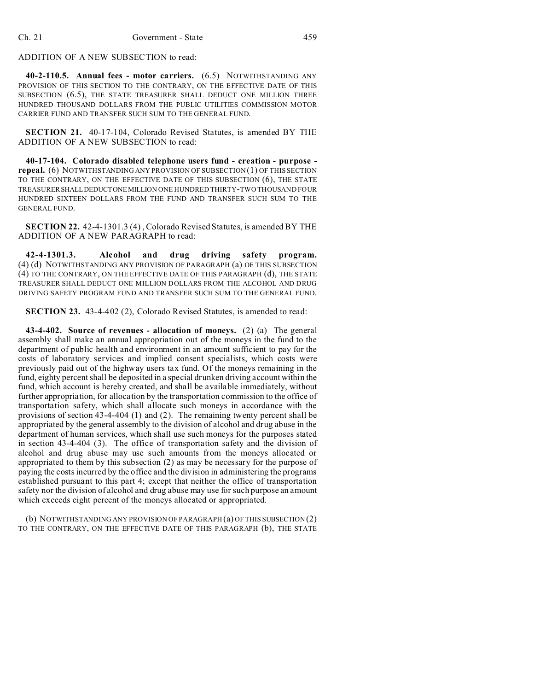## ADDITION OF A NEW SUBSECTION to read:

**40-2-110.5. Annual fees - motor carriers.** (6.5) NOTWITHSTANDING ANY PROVISION OF THIS SECTION TO THE CONTRARY, ON THE EFFECTIVE DATE OF THIS SUBSECTION (6.5), THE STATE TREASURER SHALL DEDUCT ONE MILLION THREE HUNDRED THOUSAND DOLLARS FROM THE PUBLIC UTILITIES COMMISSION MOTOR CARRIER FUND AND TRANSFER SUCH SUM TO THE GENERAL FUND.

**SECTION 21.** 40-17-104, Colorado Revised Statutes, is amended BY THE ADDITION OF A NEW SUBSECTION to read:

**40-17-104. Colorado disabled telephone users fund - creation - purpose repeal.** (6) NOTWITHSTANDING ANY PROVISION OF SUBSECTION (1) OF THIS SECTION TO THE CONTRARY, ON THE EFFECTIVE DATE OF THIS SUBSECTION (6), THE STATE TREASURERSHALLDEDUCTONEMILLION ONE HUNDRED THIRTY-TWO THOUSAND FOUR HUNDRED SIXTEEN DOLLARS FROM THE FUND AND TRANSFER SUCH SUM TO THE GENERAL FUND.

**SECTION 22.** 42-4-1301.3 (4) , Colorado Revised Statutes, is amended BY THE ADDITION OF A NEW PARAGRAPH to read:

**42-4-1301.3. Alcohol and drug driving safety program.** (4) (d) NOTWITHSTANDING ANY PROVISION OF PARAGRAPH (a) OF THIS SUBSECTION (4) TO THE CONTRARY, ON THE EFFECTIVE DATE OF THIS PARAGRAPH (d), THE STATE TREASURER SHALL DEDUCT ONE MILLION DOLLARS FROM THE ALCOHOL AND DRUG DRIVING SAFETY PROGRAM FUND AND TRANSFER SUCH SUM TO THE GENERAL FUND.

**SECTION 23.** 43-4-402 (2), Colorado Revised Statutes, is amended to read:

**43-4-402. Source of revenues - allocation of moneys.** (2) (a) The general assembly shall make an annual appropriation out of the moneys in the fund to the department of public health and environment in an amount sufficient to pay for the costs of laboratory services and implied consent specialists, which costs were previously paid out of the highway users tax fund. Of the moneys remaining in the fund, eighty percent shall be deposited in a special drunken driving account within the fund, which account is hereby created, and shall be available immediately, without further appropriation, for allocation by the transportation commission to the office of transportation safety, which shall allocate such moneys in accordance with the provisions of section 43-4-404 (1) and (2). The remaining twenty percent shall be appropriated by the general assembly to the division of alcohol and drug abuse in the department of human services, which shall use such moneys for the purposes stated in section 43-4-404 (3). The office of transportation safety and the division of alcohol and drug abuse may use such amounts from the moneys allocated or appropriated to them by this subsection (2) as may be necessary for the purpose of paying the costs incurred by the office and the division in administering the programs established pursuant to this part 4; except that neither the office of transportation safety nor the division of alcohol and drug abuse may use for such purpose an amount which exceeds eight percent of the moneys allocated or appropriated.

(b) NOTWITHSTANDING ANY PROVISION OF PARAGRAPH (a) OF THIS SUBSECTION (2) TO THE CONTRARY, ON THE EFFECTIVE DATE OF THIS PARAGRAPH (b), THE STATE